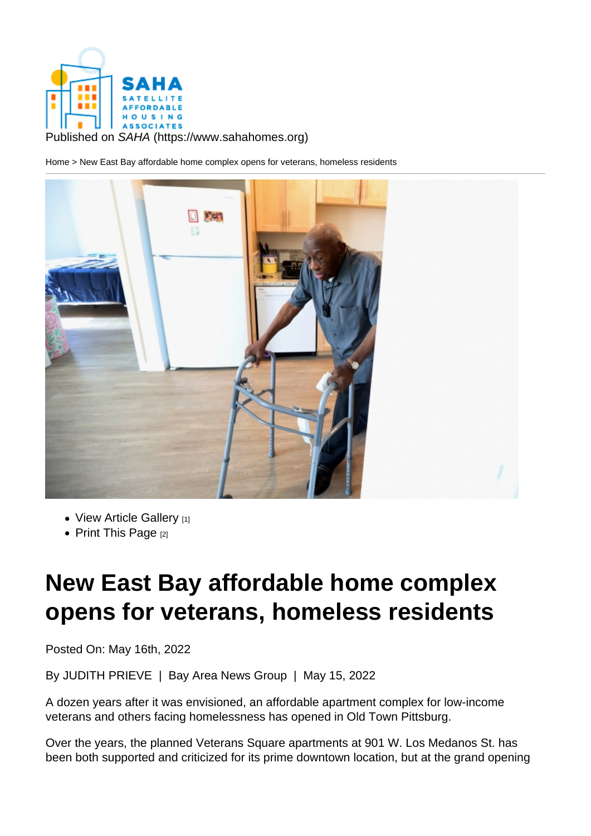Published on SAHA (https://www.sahahomes.org)

Home > New East Bay affordable home complex opens for veterans, homeless residents

- View Article Gallery [1]
- Print This Page  $[2]$

## N[ew East B](https://www.sahahomes.org/printpdf/1265)[a](https://www.sahahomes.org/?inline=true&scrollbars=no#node-images-lightbox)y affordable home complex opens for veterans, homeless residents

Posted On: May 16th, 2022

By JUDITH PRIEVE | Bay Area News Group | May 15, 2022

A dozen years after it was envisioned, an affordable apartment complex for low-income veterans and others facing homelessness has opened in Old Town Pittsburg.

Over the years, the planned Veterans Square apartments at 901 W. Los Medanos St. has been both supported and criticized for its prime downtown location, but at the grand opening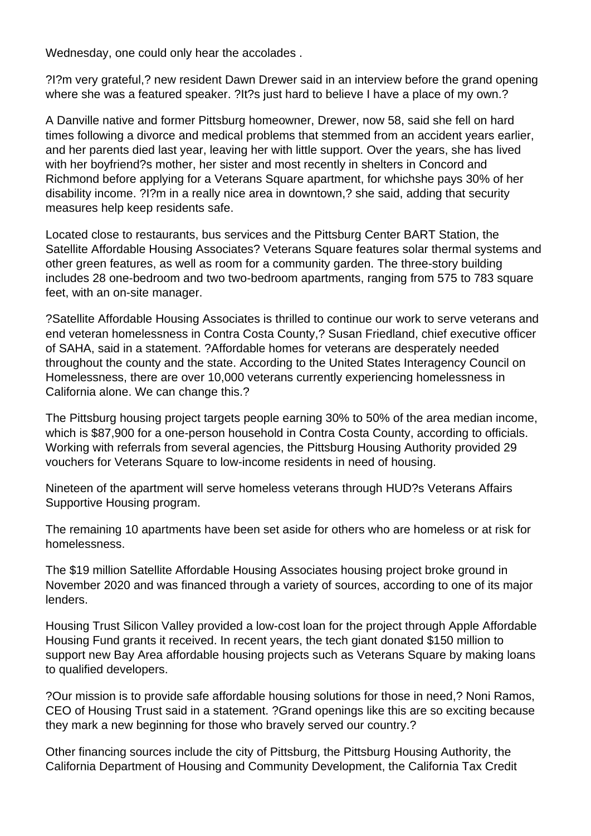Wednesday, one could only hear the accolades .

?I?m very grateful,? new resident Dawn Drewer said in an interview before the grand opening where she was a featured speaker. ?It?s just hard to believe I have a place of my own.?

A Danville native and former Pittsburg homeowner, Drewer, now 58, said she fell on hard times following a divorce and medical problems that stemmed from an accident years earlier, and her parents died last year, leaving her with little support. Over the years, she has lived with her boyfriend?s mother, her sister and most recently in shelters in Concord and Richmond before applying for a Veterans Square apartment, for whichshe pays 30% of her disability income. ?I?m in a really nice area in downtown,? she said, adding that security measures help keep residents safe.

Located close to restaurants, bus services and the Pittsburg Center BART Station, the Satellite Affordable Housing Associates? Veterans Square features solar thermal systems and other green features, as well as room for a community garden. The three-story building includes 28 one-bedroom and two two-bedroom apartments, ranging from 575 to 783 square feet, with an on-site manager.

?Satellite Affordable Housing Associates is thrilled to continue our work to serve veterans and end veteran homelessness in Contra Costa County,? Susan Friedland, chief executive officer of SAHA, said in a statement. ?Affordable homes for veterans are desperately needed throughout the county and the state. According to the United States Interagency Council on Homelessness, there are over 10,000 veterans currently experiencing homelessness in California alone. We can change this.?

The Pittsburg housing project targets people earning 30% to 50% of the area median income, which is \$87,900 for a one-person household in Contra Costa County, according to officials. Working with referrals from several agencies, the Pittsburg Housing Authority provided 29 vouchers for Veterans Square to low-income residents in need of housing.

Nineteen of the apartment will serve homeless veterans through HUD?s Veterans Affairs Supportive Housing program.

The remaining 10 apartments have been set aside for others who are homeless or at risk for homelessness.

The \$19 million Satellite Affordable Housing Associates housing project broke ground in November 2020 and was financed through a variety of sources, according to one of its major lenders.

Housing Trust Silicon Valley provided a low-cost loan for the project through Apple Affordable Housing Fund grants it received. In recent years, the tech giant donated \$150 million to support new Bay Area affordable housing projects such as Veterans Square by making loans to qualified developers.

?Our mission is to provide safe affordable housing solutions for those in need,? Noni Ramos, CEO of Housing Trust said in a statement. ?Grand openings like this are so exciting because they mark a new beginning for those who bravely served our country.?

Other financing sources include the city of Pittsburg, the Pittsburg Housing Authority, the California Department of Housing and Community Development, the California Tax Credit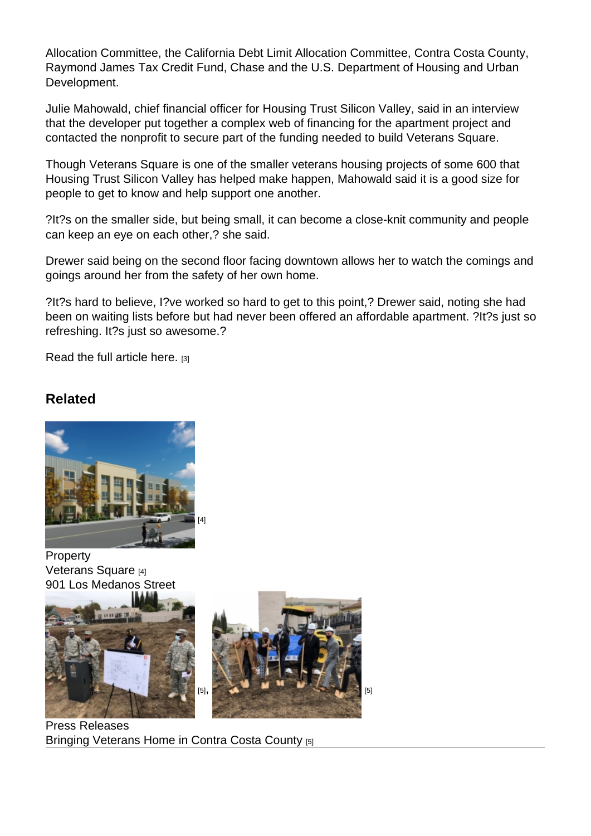Allocation Committee, the California Debt Limit Allocation Committee, Contra Costa County, Raymond James Tax Credit Fund, Chase and the U.S. Department of Housing and Urban Development.

Julie Mahowald, chief financial officer for Housing Trust Silicon Valley, said in an interview that the developer put together a complex web of financing for the apartment project and contacted the nonprofit to secure part of the funding needed to build Veterans Square.

Though Veterans Square is one of the smaller veterans housing projects of some 600 that Housing Trust Silicon Valley has helped make happen, Mahowald said it is a good size for people to get to know and help support one another.

?It?s on the smaller side, but being small, it can become a close-knit community and people can keep an eye on each other,? she said.

Drewer said being on the second floor facing downtown allows her to watch the comings and goings around her from the safety of her own home.

?It?s hard to believe, I?ve worked so hard to get to this point,? Drewer said, noting she had been on waiting lists before but had never been offered an affordable apartment. ?It?s just so refreshing. It?s just so awesome.?

Read the full article here. [3]

[Related](https://edition.pagesuite.com/popovers/dynamic_article_popover.aspx?guid=fa299b9c-e29c-4aa4-ac3c-d20b35801c1c&appcode=EAS596&eguid=83f28a73-3e4f-4afb-ba26-9dec785406de&pnum=29)

[4]

**Property** Veterans Square [4] [901 Los Medanos Street](https://www.sahahomes.org/properties/veterans-square)

 $[5]$ ,  $[5]$ 

Press Releases [Bringing Veterans Home in C](https://www.sahahomes.org/news/12-20-2021/bringing-veterans-home-contra-costa-county)o[ntra Costa County](https://www.sahahomes.org/news/12-20-2021/bringing-veterans-home-contra-costa-county) [5]